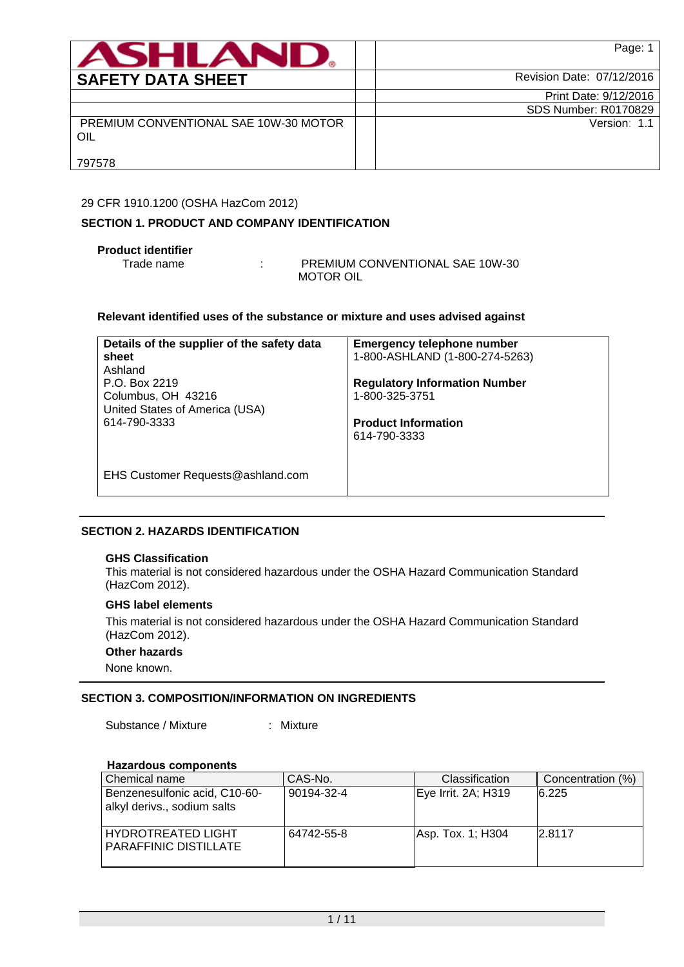| <b>ASHLANU</b>                               | Page: 1                     |
|----------------------------------------------|-----------------------------|
| <b>SAFETY DATA SHEET</b>                     | Revision Date: 07/12/2016   |
|                                              | Print Date: 9/12/2016       |
|                                              | <b>SDS Number: R0170829</b> |
| PREMIUM CONVENTIONAL SAE 10W-30 MOTOR<br>OIL | Version: 1.1                |
| 797578                                       |                             |

## 29 CFR 1910.1200 (OSHA HazCom 2012)

## **SECTION 1. PRODUCT AND COMPANY IDENTIFICATION**

## **Product identifier**

Trade name : PREMIUM CONVENTIONAL SAE 10W-30 MOTOR OIL

### **Relevant identified uses of the substance or mixture and uses advised against**

| Details of the supplier of the safety data<br>sheet<br>Ashland<br>P.O. Box 2219<br>Columbus, OH 43216 | <b>Emergency telephone number</b><br>1-800-ASHLAND (1-800-274-5263)<br><b>Regulatory Information Number</b><br>1-800-325-3751 |
|-------------------------------------------------------------------------------------------------------|-------------------------------------------------------------------------------------------------------------------------------|
| United States of America (USA)<br>614-790-3333                                                        | <b>Product Information</b><br>614-790-3333                                                                                    |
| EHS Customer Requests@ashland.com                                                                     |                                                                                                                               |

## **SECTION 2. HAZARDS IDENTIFICATION**

### **GHS Classification**

This material is not considered hazardous under the OSHA Hazard Communication Standard (HazCom 2012).

## **GHS label elements**

This material is not considered hazardous under the OSHA Hazard Communication Standard (HazCom 2012).

### **Other hazards**

None known.

## **SECTION 3. COMPOSITION/INFORMATION ON INGREDIENTS**

Substance / Mixture : Mixture

## **Hazardous components**

| Chemical name                                                | CAS-No.    | <b>Classification</b> | Concentration (%) |
|--------------------------------------------------------------|------------|-----------------------|-------------------|
| Benzenesulfonic acid, C10-60-<br>alkyl derivs., sodium salts | 90194-32-4 | Eye Irrit. 2A; H319   | 6.225             |
| <b>HYDROTREATED LIGHT</b><br>PARAFFINIC DISTILLATE           | 64742-55-8 | Asp. Tox. 1; H304     | 2.8117            |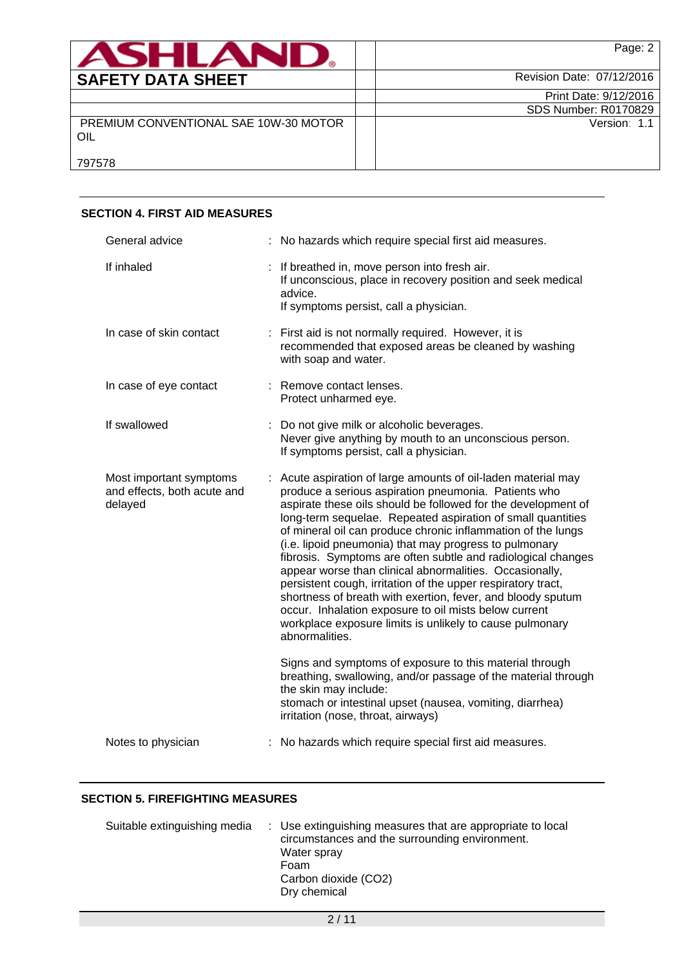| ASHLAN                                       |                             | Page: 2 |
|----------------------------------------------|-----------------------------|---------|
| <b>SAFETY DATA SHEET</b>                     | Revision Date: 07/12/2016   |         |
|                                              | Print Date: 9/12/2016       |         |
|                                              | <b>SDS Number: R0170829</b> |         |
| PREMIUM CONVENTIONAL SAE 10W-30 MOTOR<br>OIL | Version: 1.1                |         |
| 797578                                       |                             |         |

| <b>SECTION 4. FIRST AID MEASURES</b>                              |                                                                                                                                                                                                                                                                                                                                                                                                                                                                                                                                                                                                                                                                                                                                                                                  |
|-------------------------------------------------------------------|----------------------------------------------------------------------------------------------------------------------------------------------------------------------------------------------------------------------------------------------------------------------------------------------------------------------------------------------------------------------------------------------------------------------------------------------------------------------------------------------------------------------------------------------------------------------------------------------------------------------------------------------------------------------------------------------------------------------------------------------------------------------------------|
| General advice                                                    | : No hazards which require special first aid measures.                                                                                                                                                                                                                                                                                                                                                                                                                                                                                                                                                                                                                                                                                                                           |
| If inhaled                                                        | : If breathed in, move person into fresh air.<br>If unconscious, place in recovery position and seek medical<br>advice.<br>If symptoms persist, call a physician.                                                                                                                                                                                                                                                                                                                                                                                                                                                                                                                                                                                                                |
| In case of skin contact                                           | : First aid is not normally required. However, it is<br>recommended that exposed areas be cleaned by washing<br>with soap and water.                                                                                                                                                                                                                                                                                                                                                                                                                                                                                                                                                                                                                                             |
| In case of eye contact                                            | : Remove contact lenses.<br>Protect unharmed eye.                                                                                                                                                                                                                                                                                                                                                                                                                                                                                                                                                                                                                                                                                                                                |
| If swallowed                                                      | : Do not give milk or alcoholic beverages.<br>Never give anything by mouth to an unconscious person.<br>If symptoms persist, call a physician.                                                                                                                                                                                                                                                                                                                                                                                                                                                                                                                                                                                                                                   |
| Most important symptoms<br>and effects, both acute and<br>delayed | : Acute aspiration of large amounts of oil-laden material may<br>produce a serious aspiration pneumonia. Patients who<br>aspirate these oils should be followed for the development of<br>long-term sequelae. Repeated aspiration of small quantities<br>of mineral oil can produce chronic inflammation of the lungs<br>(i.e. lipoid pneumonia) that may progress to pulmonary<br>fibrosis. Symptoms are often subtle and radiological changes<br>appear worse than clinical abnormalities. Occasionally,<br>persistent cough, irritation of the upper respiratory tract,<br>shortness of breath with exertion, fever, and bloody sputum<br>occur. Inhalation exposure to oil mists below current<br>workplace exposure limits is unlikely to cause pulmonary<br>abnormalities. |
|                                                                   | Signs and symptoms of exposure to this material through<br>breathing, swallowing, and/or passage of the material through<br>the skin may include:<br>stomach or intestinal upset (nausea, vomiting, diarrhea)<br>irritation (nose, throat, airways)                                                                                                                                                                                                                                                                                                                                                                                                                                                                                                                              |
| Notes to physician                                                | : No hazards which require special first aid measures.                                                                                                                                                                                                                                                                                                                                                                                                                                                                                                                                                                                                                                                                                                                           |

# **SECTION 4. FIRST AID MEASURES**

## **SECTION 5. FIREFIGHTING MEASURES**

| Suitable extinguishing media | : Use extinguishing measures that are appropriate to local<br>circumstances and the surrounding environment.<br>Water spray<br>Foam<br>Carbon dioxide (CO2)<br>Dry chemical |
|------------------------------|-----------------------------------------------------------------------------------------------------------------------------------------------------------------------------|
|------------------------------|-----------------------------------------------------------------------------------------------------------------------------------------------------------------------------|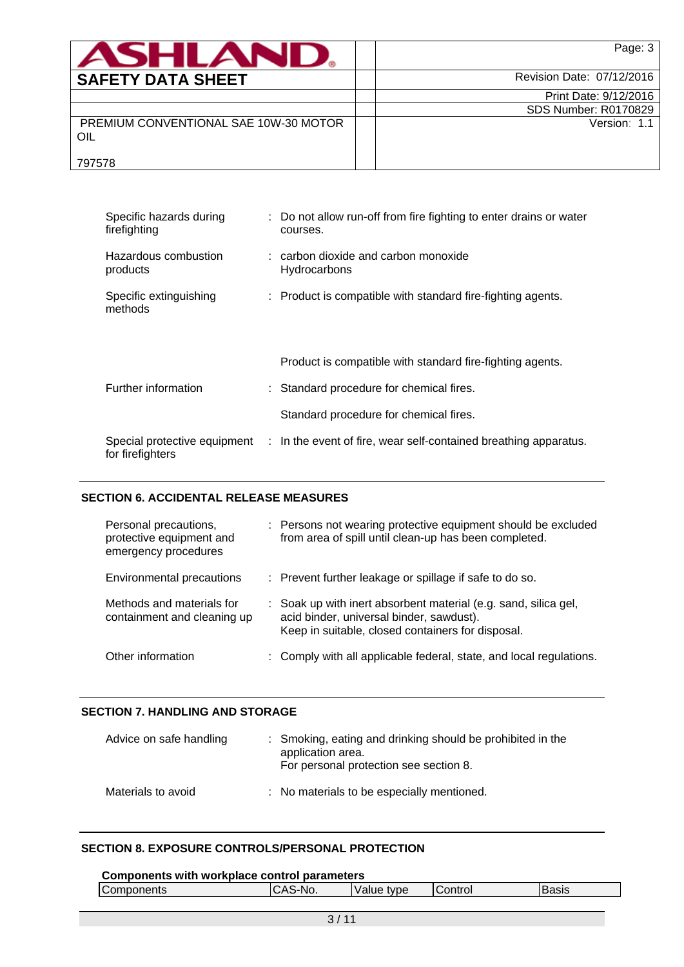| ASHLAND                                      | Page: 3                     |
|----------------------------------------------|-----------------------------|
| <b>SAFETY DATA SHEET</b>                     | Revision Date: 07/12/2016   |
|                                              | Print Date: 9/12/2016       |
|                                              | <b>SDS Number: R0170829</b> |
| PREMIUM CONVENTIONAL SAE 10W-30 MOTOR<br>OIL | Version: 1.1                |
| 797578                                       |                             |

| Specific hazards during<br>firefighting | : Do not allow run-off from fire fighting to enter drains or water<br>courses.                |
|-----------------------------------------|-----------------------------------------------------------------------------------------------|
| Hazardous combustion<br>products        | $:$ carbon dioxide and carbon monoxide<br>Hydrocarbons                                        |
| Specific extinguishing<br>methods       | : Product is compatible with standard fire-fighting agents.                                   |
|                                         | Product is compatible with standard fire-fighting agents.                                     |
| Further information                     | : Standard procedure for chemical fires.                                                      |
|                                         | Standard procedure for chemical fires.                                                        |
| for firefighters                        | Special protective equipment : In the event of fire, wear self-contained breathing apparatus. |

# **SECTION 6. ACCIDENTAL RELEASE MEASURES**

| Personal precautions,<br>protective equipment and<br>emergency procedures | : Persons not wearing protective equipment should be excluded<br>from area of spill until clean-up has been completed.                                           |
|---------------------------------------------------------------------------|------------------------------------------------------------------------------------------------------------------------------------------------------------------|
| Environmental precautions                                                 | : Prevent further leakage or spillage if safe to do so.                                                                                                          |
| Methods and materials for<br>containment and cleaning up                  | : Soak up with inert absorbent material (e.g. sand, silica gel,<br>acid binder, universal binder, sawdust).<br>Keep in suitable, closed containers for disposal. |
| Other information                                                         | : Comply with all applicable federal, state, and local regulations.                                                                                              |

# **SECTION 7. HANDLING AND STORAGE**

| Advice on safe handling | : Smoking, eating and drinking should be prohibited in the<br>application area.<br>For personal protection see section 8. |
|-------------------------|---------------------------------------------------------------------------------------------------------------------------|
| Materials to avoid      | : No materials to be especially mentioned.                                                                                |

## **SECTION 8. EXPOSURE CONTROLS/PERSONAL PROTECTION**

| Components with workplace control parameters |         |            |                 |              |  |
|----------------------------------------------|---------|------------|-----------------|--------------|--|
| Components                                   | CAS-No. | Value type | <b>IControl</b> | <b>Basis</b> |  |
|                                              |         |            |                 |              |  |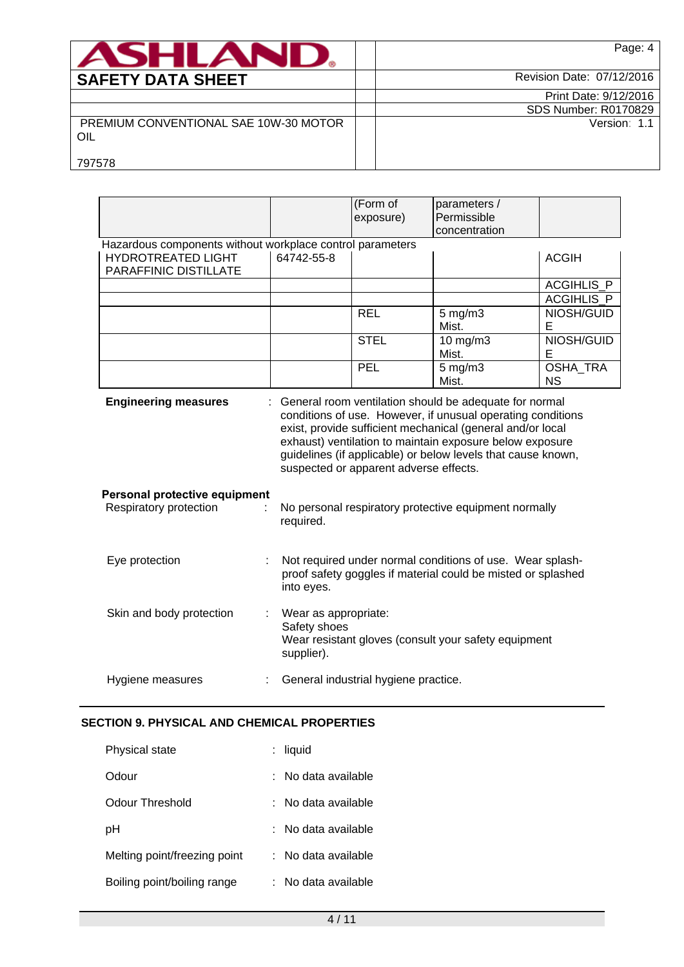| <b>ASHLAN</b>                                | Page: 4                     |
|----------------------------------------------|-----------------------------|
| <b>SAFETY DATA SHEET</b>                     | Revision Date: 07/12/2016   |
|                                              | Print Date: 9/12/2016       |
|                                              | <b>SDS Number: R0170829</b> |
| PREMIUM CONVENTIONAL SAE 10W-30 MOTOR<br>OIL | Version: 1.1                |
| 797578                                       |                             |

|                                                                                                                 |                                                    | (Form of<br>exposure)                  | parameters /<br>Permissible<br>concentration                                                                                                                                                                                                                                                                      |                       |
|-----------------------------------------------------------------------------------------------------------------|----------------------------------------------------|----------------------------------------|-------------------------------------------------------------------------------------------------------------------------------------------------------------------------------------------------------------------------------------------------------------------------------------------------------------------|-----------------------|
| Hazardous components without workplace control parameters<br><b>HYDROTREATED LIGHT</b><br>PARAFFINIC DISTILLATE | 64742-55-8                                         |                                        |                                                                                                                                                                                                                                                                                                                   | <b>ACGIH</b>          |
|                                                                                                                 |                                                    |                                        |                                                                                                                                                                                                                                                                                                                   | <b>ACGIHLIS P</b>     |
|                                                                                                                 |                                                    |                                        |                                                                                                                                                                                                                                                                                                                   | <b>ACGIHLIS P</b>     |
|                                                                                                                 |                                                    | <b>REL</b>                             | $5$ mg/m $3$<br>Mist.                                                                                                                                                                                                                                                                                             | NIOSH/GUID<br>Е       |
|                                                                                                                 |                                                    | <b>STEL</b>                            | $10$ mg/m $3$<br>Mist.                                                                                                                                                                                                                                                                                            | NIOSH/GUID<br>Е       |
|                                                                                                                 |                                                    | PEL                                    | $5$ mg/m $3$<br>Mist.                                                                                                                                                                                                                                                                                             | OSHA_TRA<br><b>NS</b> |
| <b>Engineering measures</b>                                                                                     |                                                    | suspected or apparent adverse effects. | : General room ventilation should be adequate for normal<br>conditions of use. However, if unusual operating conditions<br>exist, provide sufficient mechanical (general and/or local<br>exhaust) ventilation to maintain exposure below exposure<br>guidelines (if applicable) or below levels that cause known, |                       |
| Personal protective equipment<br>Respiratory protection                                                         | required.                                          |                                        | No personal respiratory protective equipment normally                                                                                                                                                                                                                                                             |                       |
| Eye protection                                                                                                  | into eyes.                                         |                                        | Not required under normal conditions of use. Wear splash-<br>proof safety goggles if material could be misted or splashed                                                                                                                                                                                         |                       |
| Skin and body protection                                                                                        | Wear as appropriate:<br>Safety shoes<br>supplier). |                                        | Wear resistant gloves (consult your safety equipment                                                                                                                                                                                                                                                              |                       |
| Hygiene measures                                                                                                |                                                    | General industrial hygiene practice.   |                                                                                                                                                                                                                                                                                                                   |                       |

# **SECTION 9. PHYSICAL AND CHEMICAL PROPERTIES**

| <b>Physical state</b>        | : liquid            |
|------------------------------|---------------------|
| Odour                        | ∶ No data available |
| Odour Threshold              | : No data available |
| рH                           | No data available   |
| Melting point/freezing point | : No data available |
| Boiling point/boiling range  | : No data available |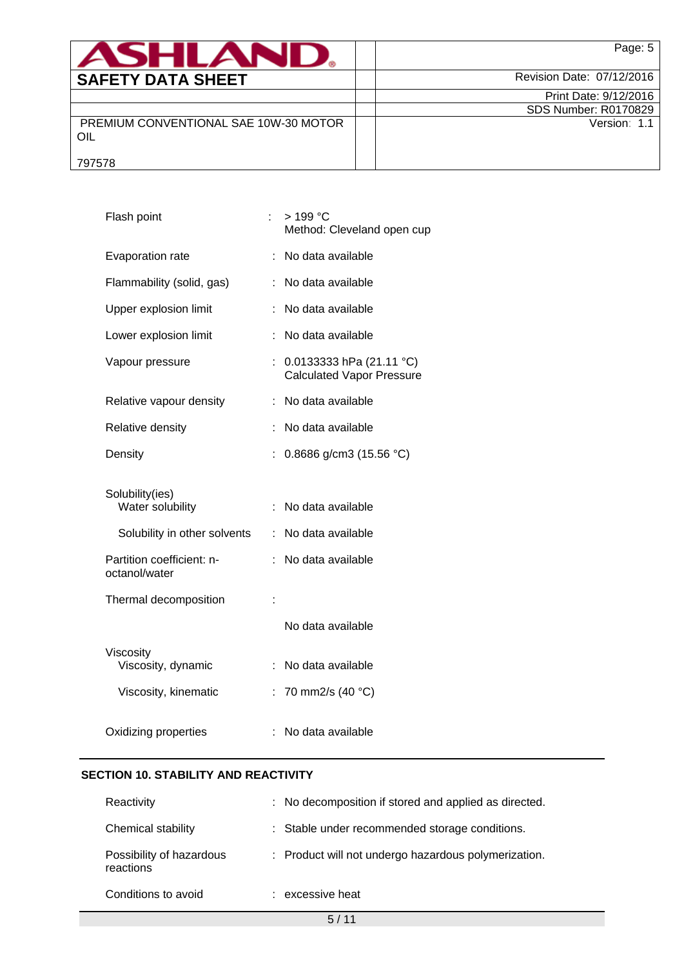| ASHLAN                                       | Page: 5                     |
|----------------------------------------------|-----------------------------|
| <b>SAFETY DATA SHEET</b>                     | Revision Date: 07/12/2016   |
|                                              | Print Date: 9/12/2016       |
|                                              | <b>SDS Number: R0170829</b> |
| PREMIUM CONVENTIONAL SAE 10W-30 MOTOR<br>OIL | Version: 1.1                |
| 797578                                       |                             |

| Flash point                                | ÷. | > 199 °C<br>Method: Cleveland open cup                         |
|--------------------------------------------|----|----------------------------------------------------------------|
| Evaporation rate                           |    | : No data available                                            |
| Flammability (solid, gas)                  |    | : No data available                                            |
| Upper explosion limit                      | ÷  | No data available                                              |
| Lower explosion limit                      |    | No data available                                              |
| Vapour pressure                            |    | 0.0133333 hPa $(21.11 °C)$<br><b>Calculated Vapor Pressure</b> |
| Relative vapour density                    | ÷  | No data available                                              |
| Relative density                           |    | No data available                                              |
| Density                                    | t. | 0.8686 g/cm3 (15.56 °C)                                        |
| Solubility(ies)<br>Water solubility        |    | : No data available                                            |
| Solubility in other solvents               |    | : No data available                                            |
| Partition coefficient: n-<br>octanol/water |    | : No data available                                            |
| Thermal decomposition                      |    |                                                                |
|                                            |    | No data available                                              |
| Viscosity<br>Viscosity, dynamic            | ÷  | No data available                                              |
| Viscosity, kinematic                       |    | : 70 mm2/s (40 $^{\circ}$ C)                                   |
| Oxidizing properties                       |    | : No data available                                            |

## **SECTION 10. STABILITY AND REACTIVITY**

| Reactivity                            | : No decomposition if stored and applied as directed. |  |
|---------------------------------------|-------------------------------------------------------|--|
| Chemical stability                    | : Stable under recommended storage conditions.        |  |
| Possibility of hazardous<br>reactions | : Product will not undergo hazardous polymerization.  |  |
| Conditions to avoid                   | : excessive heat                                      |  |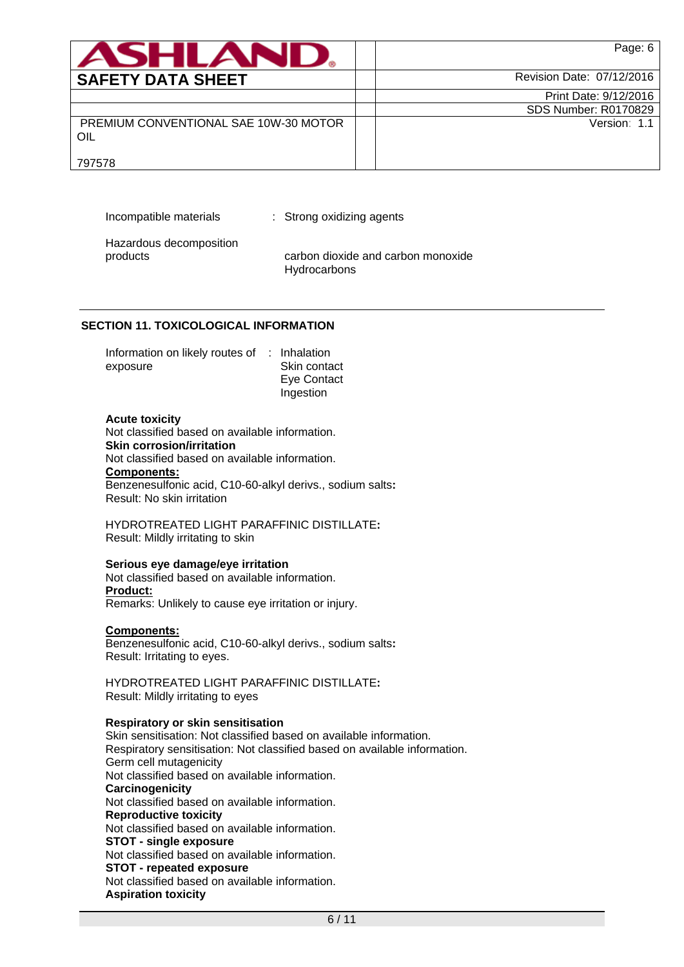| ASHLANL                                      | Page: 6                     |
|----------------------------------------------|-----------------------------|
| <b>SAFETY DATA SHEET</b>                     | Revision Date: 07/12/2016   |
|                                              | Print Date: 9/12/2016       |
|                                              | <b>SDS Number: R0170829</b> |
| PREMIUM CONVENTIONAL SAE 10W-30 MOTOR<br>OIL | Version: 1.1                |
| 797578                                       |                             |

Incompatible materials : Strong oxidizing agents

Hazardous decomposition

products carbon dioxide and carbon monoxide **Hydrocarbons** 

## **SECTION 11. TOXICOLOGICAL INFORMATION**

| Information on likely routes of : Inhalation |              |
|----------------------------------------------|--------------|
| exposure                                     | Skin contact |
|                                              | Eye Contact  |
|                                              | Ingestion    |

### **Acute toxicity**

Not classified based on available information. **Skin corrosion/irritation** Not classified based on available information. **Components:** Benzenesulfonic acid, C10-60-alkyl derivs., sodium salts**:** Result: No skin irritation

HYDROTREATED LIGHT PARAFFINIC DISTILLATE**:** Result: Mildly irritating to skin

## **Serious eye damage/eye irritation**

Not classified based on available information. **Product:** Remarks: Unlikely to cause eye irritation or injury.

## **Components:**

Benzenesulfonic acid, C10-60-alkyl derivs., sodium salts**:** Result: Irritating to eyes.

HYDROTREATED LIGHT PARAFFINIC DISTILLATE**:** Result: Mildly irritating to eyes

## **Respiratory or skin sensitisation**

Skin sensitisation: Not classified based on available information. Respiratory sensitisation: Not classified based on available information. Germ cell mutagenicity Not classified based on available information. **Carcinogenicity** Not classified based on available information. **Reproductive toxicity** Not classified based on available information. **STOT - single exposure** Not classified based on available information. **STOT - repeated exposure** Not classified based on available information. **Aspiration toxicity**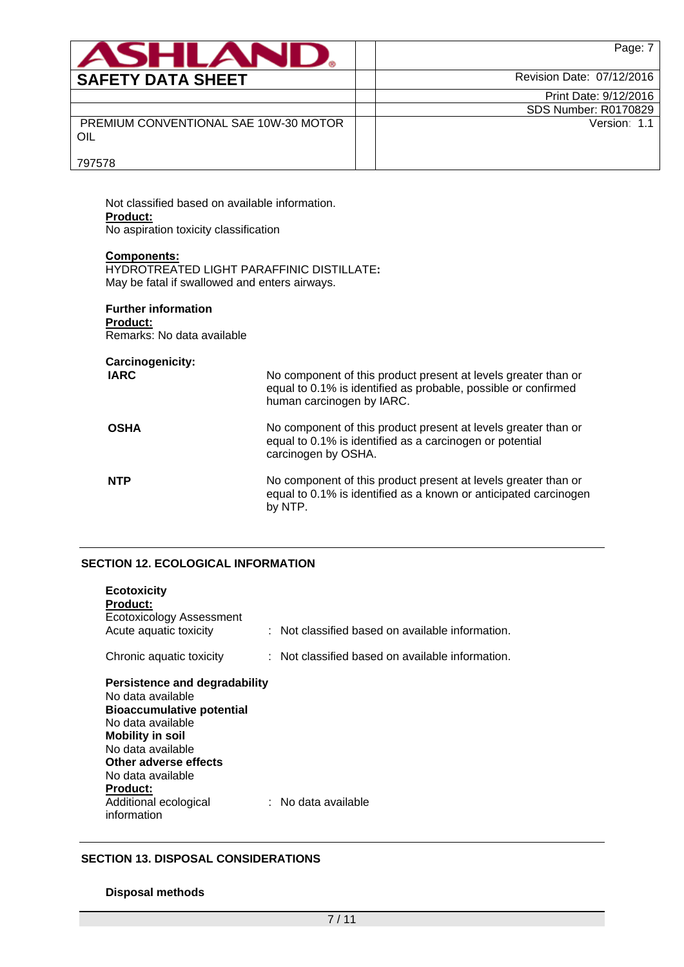| <b>ASHLAND.</b>                              | Page: 7                     |
|----------------------------------------------|-----------------------------|
| <b>SAFETY DATA SHEET</b>                     | Revision Date: 07/12/2016   |
|                                              | Print Date: 9/12/2016       |
|                                              | <b>SDS Number: R0170829</b> |
| PREMIUM CONVENTIONAL SAE 10W-30 MOTOR<br>OIL | Version: 1.1                |
| 797578                                       |                             |

797578

Not classified based on available information. **Product:** No aspiration toxicity classification

### **Components:**

HYDROTREATED LIGHT PARAFFINIC DISTILLATE**:** May be fatal if swallowed and enters airways.

# **Further information**

**Product:**

| <b>Carcinogenicity:</b> |                                                                                                                                                               |
|-------------------------|---------------------------------------------------------------------------------------------------------------------------------------------------------------|
| <b>IARC</b>             | No component of this product present at levels greater than or<br>equal to 0.1% is identified as probable, possible or confirmed<br>human carcinogen by IARC. |
| <b>OSHA</b>             | No component of this product present at levels greater than or<br>equal to 0.1% is identified as a carcinogen or potential<br>carcinogen by OSHA.             |
| <b>NTP</b>              | No component of this product present at levels greater than or<br>equal to 0.1% is identified as a known or anticipated carcinogen<br>by NTP.                 |

# **SECTION 12. ECOLOGICAL INFORMATION**

| <b>Ecotoxicity</b><br><b>Product:</b><br>Ecotoxicology Assessment<br>Acute aquatic toxicity                                                                                                                                                                          | : Not classified based on available information.            |
|----------------------------------------------------------------------------------------------------------------------------------------------------------------------------------------------------------------------------------------------------------------------|-------------------------------------------------------------|
| Chronic aquatic toxicity                                                                                                                                                                                                                                             | $\therefore$ Not classified based on available information. |
| Persistence and degradability<br>No data available<br><b>Bioaccumulative potential</b><br>No data available<br><b>Mobility in soil</b><br>No data available<br>Other adverse effects<br>No data available<br><b>Product:</b><br>Additional ecological<br>information | : No data available                                         |

# **SECTION 13. DISPOSAL CONSIDERATIONS**

# **Disposal methods**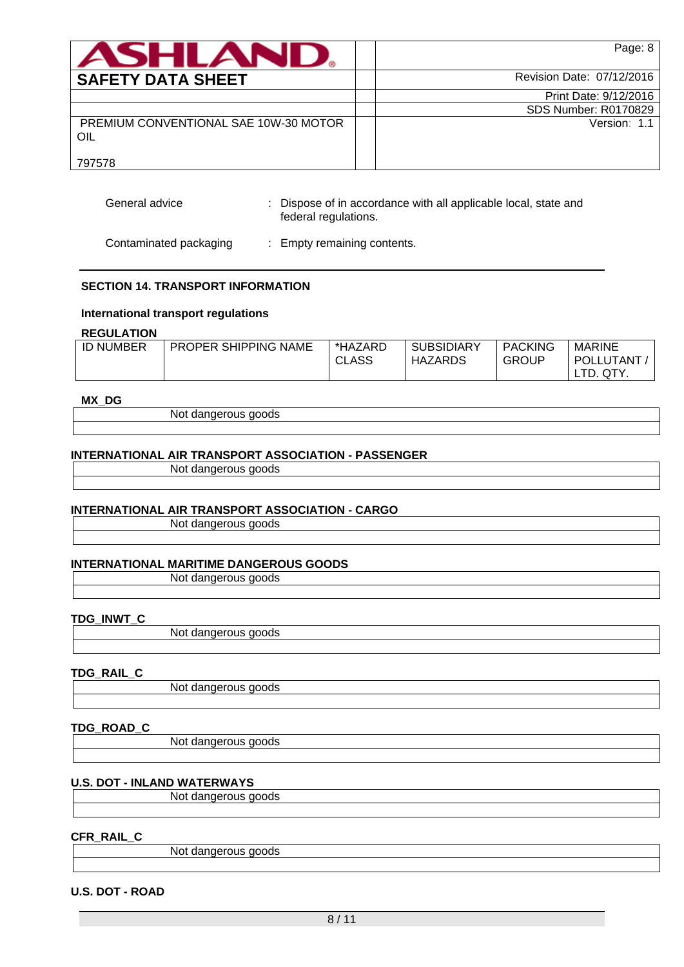| ANHI AN                                      | Page: 8                   |
|----------------------------------------------|---------------------------|
| <b>SAFETY DATA SHEET</b>                     | Revision Date: 07/12/2016 |
|                                              | Print Date: 9/12/2016     |
|                                              | SDS Number: R0170829      |
| PREMIUM CONVENTIONAL SAE 10W-30 MOTOR<br>OIL | Version: 1.1              |
| 797578                                       |                           |

| General advice | : Dispose of in accordance with all applicable local, state and |
|----------------|-----------------------------------------------------------------|
|                | federal regulations.                                            |

Contaminated packaging : Empty remaining contents.

## **SECTION 14. TRANSPORT INFORMATION**

### **International transport regulations**

### **REGULATION**

| <b>ID NUMBER</b> | <b>PROPER SHIPPING NAME</b> | *HAZARD<br><b>CLASS</b> | <b>SUBSIDIARY</b><br>HAZARDS | <b>PACKING</b><br><b>GROUP</b> | <b>MARINE</b><br><b>POLLUTANT</b> |
|------------------|-----------------------------|-------------------------|------------------------------|--------------------------------|-----------------------------------|
|                  |                             |                         |                              |                                | TD.<br>QTY.                       |

## **MX\_DG**

Not dangerous goods

### **INTERNATIONAL AIR TRANSPORT ASSOCIATION - PASSENGER**

Not dangerous goods

## **INTERNATIONAL AIR TRANSPORT ASSOCIATION - CARGO**

Not dangerous goods

## **INTERNATIONAL MARITIME DANGEROUS GOODS**

Not dangerous goods

### **TDG\_INWT\_C**

Not dangerous goods

## **TDG\_RAIL\_C**

Not dangerous goods

# **TDG\_ROAD\_C**

Not dangerous goods

### **U.S. DOT - INLAND WATERWAYS**

Not dangerous goods

## **CFR\_RAIL\_C**

Not dangerous goods

### **U.S. DOT - ROAD**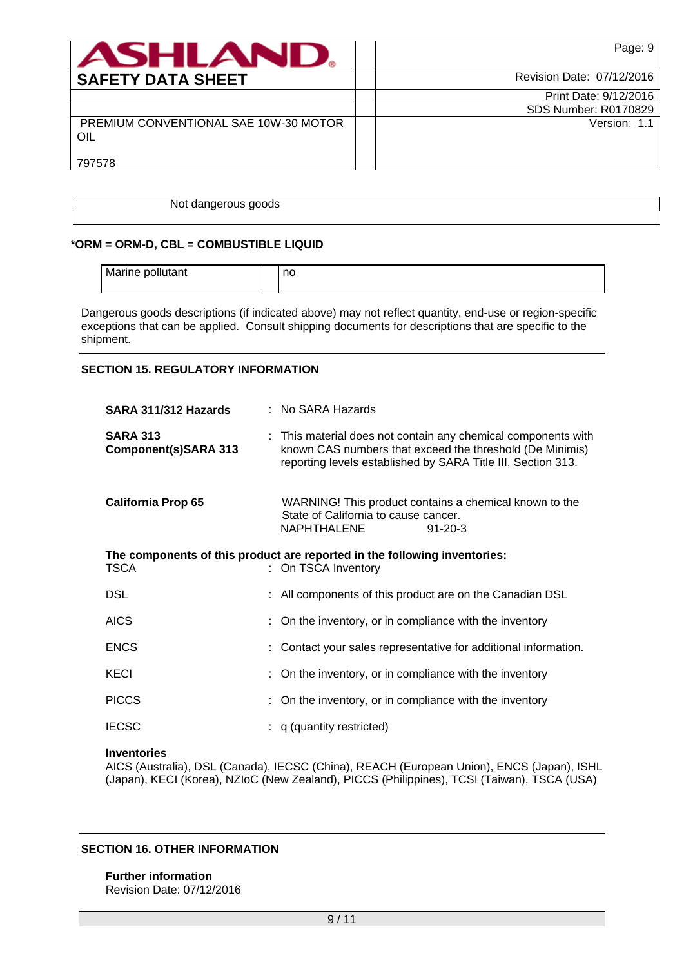| ASHLANI                                      | Page: 9                   |
|----------------------------------------------|---------------------------|
| <b>SAFETY DATA SHEET</b>                     | Revision Date: 07/12/2016 |
|                                              | Print Date: 9/12/2016     |
|                                              | SDS Number: R0170829      |
| PREMIUM CONVENTIONAL SAE 10W-30 MOTOR<br>OIL | Version: 1.1              |
| 797578                                       |                           |

Not dangerous goods

### **\*ORM = ORM-D, CBL = COMBUSTIBLE LIQUID**

| Marine pollutant | no |
|------------------|----|
|                  |    |

Dangerous goods descriptions (if indicated above) may not reflect quantity, end-use or region-specific exceptions that can be applied. Consult shipping documents for descriptions that are specific to the shipment.

### **SECTION 15. REGULATORY INFORMATION**

| SARA 311/312 Hazards                    | : No SARA Hazards                                                                                                                                                                         |
|-----------------------------------------|-------------------------------------------------------------------------------------------------------------------------------------------------------------------------------------------|
| <b>SARA 313</b><br>Component(s)SARA 313 | : This material does not contain any chemical components with<br>known CAS numbers that exceed the threshold (De Minimis)<br>reporting levels established by SARA Title III, Section 313. |
| <b>California Prop 65</b>               | WARNING! This product contains a chemical known to the<br>State of California to cause cancer.<br><b>NAPHTHALENE</b><br>$91 - 20 - 3$                                                     |
| <b>TSCA</b>                             | The components of this product are reported in the following inventories:<br>: On TSCA Inventory                                                                                          |
| <b>DSL</b>                              | : All components of this product are on the Canadian DSL                                                                                                                                  |
| <b>AICS</b>                             | : On the inventory, or in compliance with the inventory                                                                                                                                   |
| <b>ENCS</b>                             | : Contact your sales representative for additional information.                                                                                                                           |
| <b>KECI</b>                             | : On the inventory, or in compliance with the inventory                                                                                                                                   |
| <b>PICCS</b>                            | : On the inventory, or in compliance with the inventory                                                                                                                                   |
| <b>IECSC</b>                            | $: q$ (quantity restricted)                                                                                                                                                               |

### **Inventories**

AICS (Australia), DSL (Canada), IECSC (China), REACH (European Union), ENCS (Japan), ISHL (Japan), KECI (Korea), NZIoC (New Zealand), PICCS (Philippines), TCSI (Taiwan), TSCA (USA)

## **SECTION 16. OTHER INFORMATION**

**Further information** Revision Date: 07/12/2016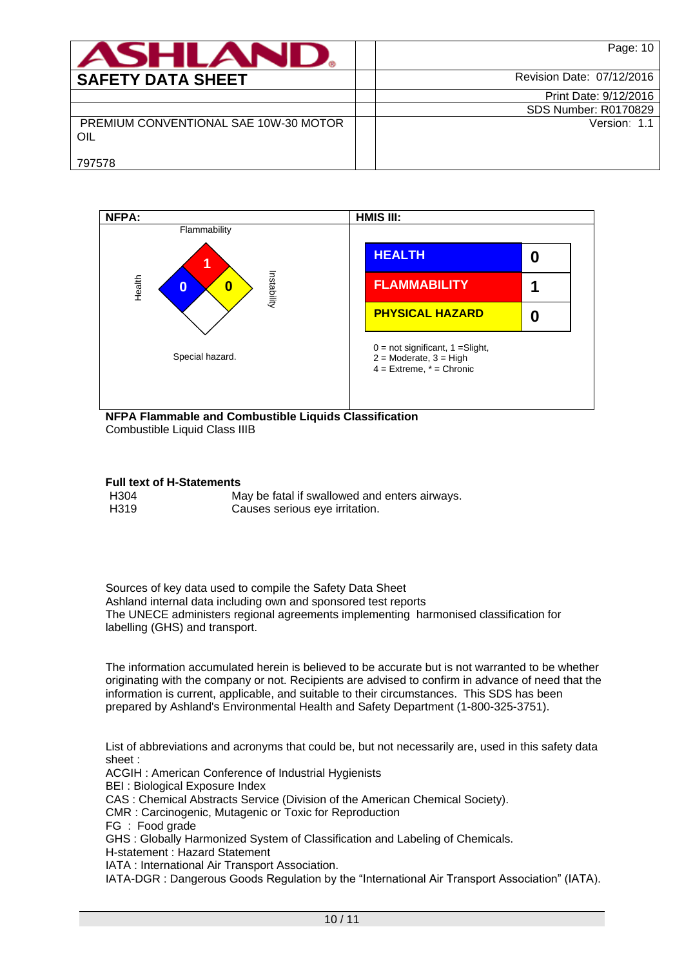| ASHLANI                                      | Page: 10                  |
|----------------------------------------------|---------------------------|
| <b>SAFETY DATA SHEET</b>                     | Revision Date: 07/12/2016 |
|                                              | Print Date: 9/12/2016     |
|                                              | SDS Number: R0170829      |
| PREMIUM CONVENTIONAL SAE 10W-30 MOTOR<br>OIL | Version: 1.1              |
| 797578                                       |                           |



Combustible Liquid Class IIIB

### **Full text of H-Statements**

| H304 | May be fatal if swallowed and enters airways. |
|------|-----------------------------------------------|
| H319 | Causes serious eye irritation.                |

Sources of key data used to compile the Safety Data Sheet Ashland internal data including own and sponsored test reports The UNECE administers regional agreements implementing harmonised classification for labelling (GHS) and transport.

The information accumulated herein is believed to be accurate but is not warranted to be whether originating with the company or not. Recipients are advised to confirm in advance of need that the information is current, applicable, and suitable to their circumstances. This SDS has been prepared by Ashland's Environmental Health and Safety Department (1-800-325-3751).

List of abbreviations and acronyms that could be, but not necessarily are, used in this safety data sheet :

ACGIH : American Conference of Industrial Hygienists

BEI : Biological Exposure Index

CAS : Chemical Abstracts Service (Division of the American Chemical Society).

CMR : Carcinogenic, Mutagenic or Toxic for Reproduction

FG : Food grade

GHS : Globally Harmonized System of Classification and Labeling of Chemicals.

H-statement : Hazard Statement

IATA : International Air Transport Association.

IATA-DGR : Dangerous Goods Regulation by the "International Air Transport Association" (IATA).